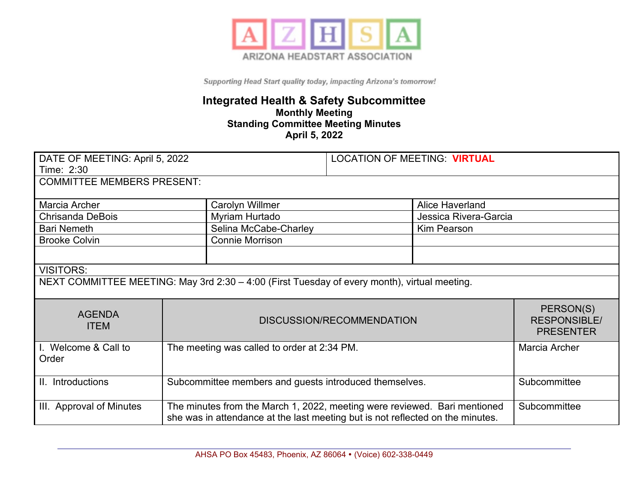

## **Integrated Health & Safety Subcommittee Monthly Meeting Standing Committee Meeting Minutes April 5, 2022**

| DATE OF MEETING: April 5, 2022                                                               |                                                                                                                                                             | <b>LOCATION OF MEETING: VIRTUAL</b> |                                                      |                        |  |
|----------------------------------------------------------------------------------------------|-------------------------------------------------------------------------------------------------------------------------------------------------------------|-------------------------------------|------------------------------------------------------|------------------------|--|
| Time: 2:30                                                                                   |                                                                                                                                                             |                                     |                                                      |                        |  |
| <b>COMMITTEE MEMBERS PRESENT:</b>                                                            |                                                                                                                                                             |                                     |                                                      |                        |  |
|                                                                                              |                                                                                                                                                             |                                     |                                                      |                        |  |
| Marcia Archer                                                                                |                                                                                                                                                             | <b>Carolyn Willmer</b>              |                                                      | <b>Alice Haverland</b> |  |
| <b>Chrisanda DeBois</b>                                                                      |                                                                                                                                                             | Myriam Hurtado                      |                                                      | Jessica Rivera-Garcia  |  |
| <b>Bari Nemeth</b>                                                                           |                                                                                                                                                             | Selina McCabe-Charley               |                                                      | <b>Kim Pearson</b>     |  |
| <b>Brooke Colvin</b>                                                                         |                                                                                                                                                             | <b>Connie Morrison</b>              |                                                      |                        |  |
|                                                                                              |                                                                                                                                                             |                                     |                                                      |                        |  |
| <b>VISITORS:</b>                                                                             |                                                                                                                                                             |                                     |                                                      |                        |  |
| NEXT COMMITTEE MEETING: May 3rd 2:30 - 4:00 (First Tuesday of every month), virtual meeting. |                                                                                                                                                             |                                     |                                                      |                        |  |
| <b>AGENDA</b><br><b>ITEM</b>                                                                 | DISCUSSION/RECOMMENDATION                                                                                                                                   |                                     | PERSON(S)<br><b>RESPONSIBLE/</b><br><b>PRESENTER</b> |                        |  |
| I. Welcome & Call to<br>Order                                                                | The meeting was called to order at 2:34 PM.                                                                                                                 |                                     |                                                      | Marcia Archer          |  |
| II. Introductions                                                                            | Subcommittee members and guests introduced themselves.                                                                                                      |                                     | Subcommittee                                         |                        |  |
| III. Approval of Minutes                                                                     | The minutes from the March 1, 2022, meeting were reviewed. Bari mentioned<br>she was in attendance at the last meeting but is not reflected on the minutes. |                                     | Subcommittee                                         |                        |  |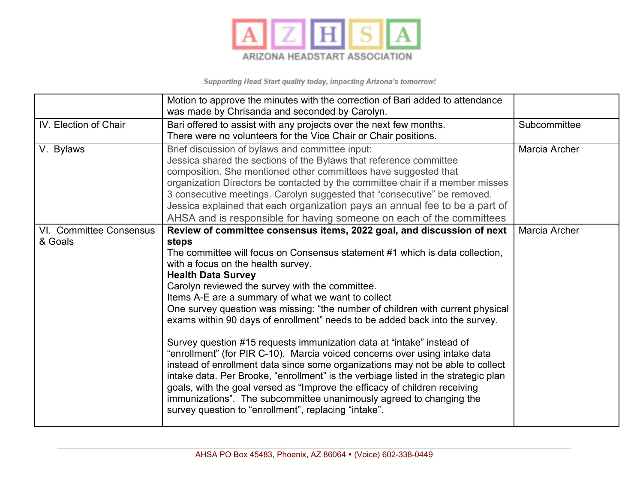

|                                    | Motion to approve the minutes with the correction of Bari added to attendance<br>was made by Chrisanda and seconded by Carolyn.                                                                                                                                                                                                                                                                                                                                                                                                                                                                                                                                                                                                                                                                                                                                                                                                                                                                                                                          |               |
|------------------------------------|----------------------------------------------------------------------------------------------------------------------------------------------------------------------------------------------------------------------------------------------------------------------------------------------------------------------------------------------------------------------------------------------------------------------------------------------------------------------------------------------------------------------------------------------------------------------------------------------------------------------------------------------------------------------------------------------------------------------------------------------------------------------------------------------------------------------------------------------------------------------------------------------------------------------------------------------------------------------------------------------------------------------------------------------------------|---------------|
| IV. Election of Chair              | Bari offered to assist with any projects over the next few months.<br>There were no volunteers for the Vice Chair or Chair positions.                                                                                                                                                                                                                                                                                                                                                                                                                                                                                                                                                                                                                                                                                                                                                                                                                                                                                                                    | Subcommittee  |
| V. Bylaws                          | Brief discussion of bylaws and committee input:<br>Jessica shared the sections of the Bylaws that reference committee<br>composition. She mentioned other committees have suggested that<br>organization Directors be contacted by the committee chair if a member misses<br>3 consecutive meetings. Carolyn suggested that "consecutive" be removed.<br>Jessica explained that each organization pays an annual fee to be a part of<br>AHSA and is responsible for having someone on each of the committees                                                                                                                                                                                                                                                                                                                                                                                                                                                                                                                                             | Marcia Archer |
| VI. Committee Consensus<br>& Goals | Review of committee consensus items, 2022 goal, and discussion of next<br>steps<br>The committee will focus on Consensus statement #1 which is data collection,<br>with a focus on the health survey.<br><b>Health Data Survey</b><br>Carolyn reviewed the survey with the committee.<br>Items A-E are a summary of what we want to collect<br>One survey question was missing: "the number of children with current physical<br>exams within 90 days of enrollment" needs to be added back into the survey.<br>Survey question #15 requests immunization data at "intake" instead of<br>"enrollment" (for PIR C-10). Marcia voiced concerns over using intake data<br>instead of enrollment data since some organizations may not be able to collect<br>intake data. Per Brooke, "enrollment" is the verbiage listed in the strategic plan<br>goals, with the goal versed as "Improve the efficacy of children receiving<br>immunizations". The subcommittee unanimously agreed to changing the<br>survey question to "enrollment", replacing "intake". | Marcia Archer |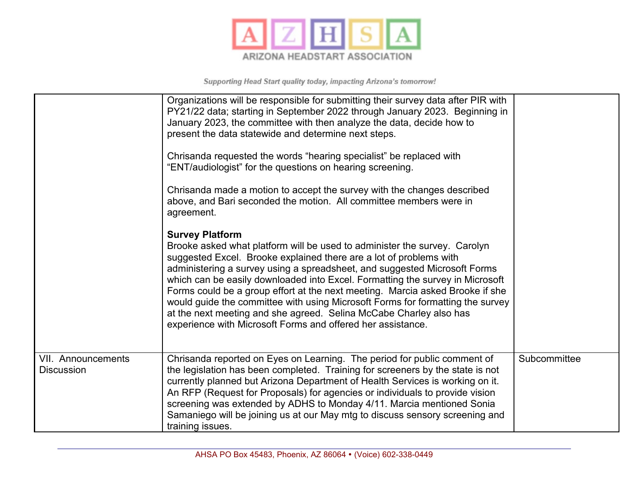

|                                                | Organizations will be responsible for submitting their survey data after PIR with<br>PY21/22 data; starting in September 2022 through January 2023. Beginning in<br>January 2023, the committee with then analyze the data, decide how to<br>present the data statewide and determine next steps.<br>Chrisanda requested the words "hearing specialist" be replaced with<br>"ENT/audiologist" for the questions on hearing screening.<br>Chrisanda made a motion to accept the survey with the changes described<br>above, and Bari seconded the motion. All committee members were in<br>agreement.<br><b>Survey Platform</b><br>Brooke asked what platform will be used to administer the survey. Carolyn<br>suggested Excel. Brooke explained there are a lot of problems with<br>administering a survey using a spreadsheet, and suggested Microsoft Forms<br>which can be easily downloaded into Excel. Formatting the survey in Microsoft<br>Forms could be a group effort at the next meeting. Marcia asked Brooke if she<br>would guide the committee with using Microsoft Forms for formatting the survey<br>at the next meeting and she agreed. Selina McCabe Charley also has<br>experience with Microsoft Forms and offered her assistance. |              |
|------------------------------------------------|---------------------------------------------------------------------------------------------------------------------------------------------------------------------------------------------------------------------------------------------------------------------------------------------------------------------------------------------------------------------------------------------------------------------------------------------------------------------------------------------------------------------------------------------------------------------------------------------------------------------------------------------------------------------------------------------------------------------------------------------------------------------------------------------------------------------------------------------------------------------------------------------------------------------------------------------------------------------------------------------------------------------------------------------------------------------------------------------------------------------------------------------------------------------------------------------------------------------------------------------------------|--------------|
| <b>VII. Announcements</b><br><b>Discussion</b> | Chrisanda reported on Eyes on Learning. The period for public comment of<br>the legislation has been completed. Training for screeners by the state is not<br>currently planned but Arizona Department of Health Services is working on it.<br>An RFP (Request for Proposals) for agencies or individuals to provide vision<br>screening was extended by ADHS to Monday 4/11. Marcia mentioned Sonia<br>Samaniego will be joining us at our May mtg to discuss sensory screening and<br>training issues.                                                                                                                                                                                                                                                                                                                                                                                                                                                                                                                                                                                                                                                                                                                                                | Subcommittee |